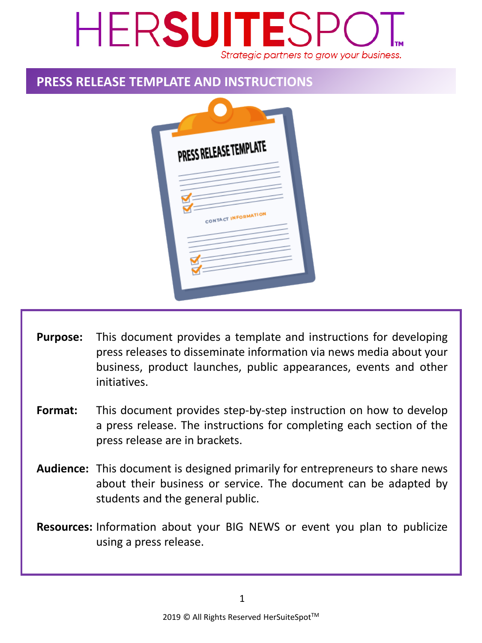## HERSUITESP Strategic partners to grow your business.

### **PRESS RELEASE TEMPLATE AND INSTRUCTIONS**

| PRESS RELEASE TEMPLATE |
|------------------------|
| CONTACT INFORMATION    |
|                        |

- This document provides a template and instructions for developing press releases to disseminate information via news media about your business, product launches, public appearances, events and other initiatives. **Purpose:**
- This document provides step-by-step instruction on how to develop a press release. The instructions for completing each section of the press release are in brackets. **Format:**
- Audience: This document is designed primarily for entrepreneurs to share news about their business or service. The document can be adapted by students and the general public.
- Resources: Information about your BIG NEWS or event you plan to publicize using a press release.